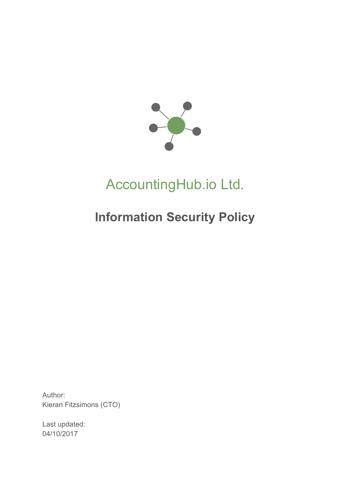

# AccountingHub.io Ltd.

## **Information Security Policy**

Author: Kieran Fitzsimons (CTO)

Last updated: 04/10/2017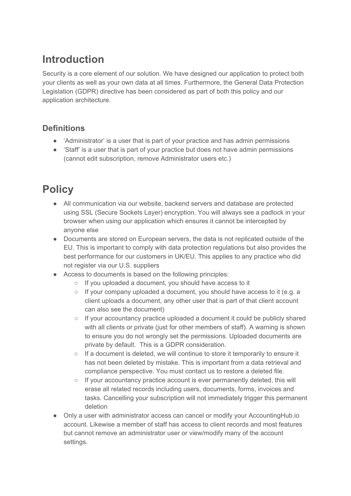#### **Introduction**

Security is a core element of our solution. We have designed our application to protect both your clients as well as your own data at all times. Furthermore, the General Data Protection Legislation (GDPR) directive has been considered as part of both this policy and our application architecture.

#### **Definitions**

- 'Administrator' is a user that is part of your practice and has admin permissions
- Staff' is a user that is part of your practice but does not have admin permissions (cannot edit subscription, remove Administrator users etc.)

### **Policy**

- All communication via our website, backend servers and database are protected using SSL (Secure Sockets Layer) encryption. You will always see a padlock in your browser when using our application which ensures it cannot be intercepted by anyone else
- Documents are stored on European servers, the data is not replicated outside of the EU. This is important to comply with data protection regulations but also provides the best performance for our customers in UK/EU. This applies to any practice who did not register via our U.S. suppliers
- Access to documents is based on the following principles:
	- If you uploaded a document, you should have access to it
	- If your company uploaded a document, you should have access to it (e.g. a client uploads a document, any other user that is part of that client account can also see the document)
	- If your accountancy practice uploaded a document it could be publicly shared with all clients or private (just for other members of staff). A warning is shown to ensure you do not wrongly set the permissions. Uploaded documents are private by default. This is a GDPR consideration.
	- If a document is deleted, we will continue to store it temporarily to ensure it has not been deleted by mistake. This is important from a data retrieval and compliance perspective. You must contact us to restore a deleted file.
	- If your accountancy practice account is ever permanently deleted, this will erase all related records including users, documents, forms, invoices and tasks. Cancelling your subscription will not immediately trigger this permanent deletion
- Only a user with administrator access can cancel or modify your AccountingHub.io account. Likewise a member of staff has access to client records and most features but cannot remove an administrator user or view/modify many of the account settings.